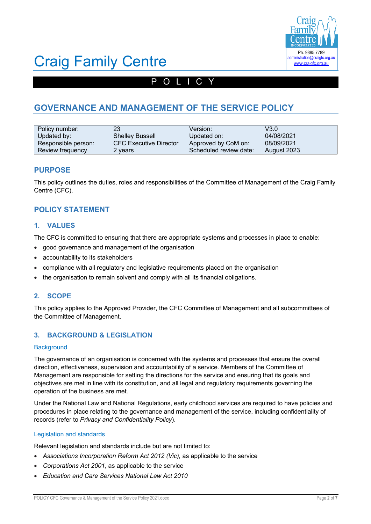

# Craig Family Centre

# POLICY

# **GOVERNANCE AND MANAGEMENT OF THE SERVICE POLICY**

| Policy number:      | 23                            | Version:               | V3.0        |
|---------------------|-------------------------------|------------------------|-------------|
| Updated by:         | <b>Shelley Bussell</b>        | Updated on:            | 04/08/2021  |
| Responsible person: | <b>CFC Executive Director</b> | Approved by CoM on:    | 08/09/2021  |
| Review frequency    | 2 vears                       | Scheduled review date: | August 2023 |

### **PURPOSE**

This policy outlines the duties, roles and responsibilities of the Committee of Management of the Craig Family Centre (CFC).

# **POLICY STATEMENT**

### **1. VALUES**

The CFC is committed to ensuring that there are appropriate systems and processes in place to enable:

- good governance and management of the organisation
- accountability to its stakeholders
- compliance with all regulatory and legislative requirements placed on the organisation
- the organisation to remain solvent and comply with all its financial obligations.

#### **2. SCOPE**

This policy applies to the Approved Provider, the CFC Committee of Management and all subcommittees of the Committee of Management.

### **3. BACKGROUND & LEGISLATION**

#### **Background**

The governance of an organisation is concerned with the systems and processes that ensure the overall direction, effectiveness, supervision and accountability of a service. Members of the Committee of Management are responsible for setting the directions for the service and ensuring that its goals and objectives are met in line with its constitution, and all legal and regulatory requirements governing the operation of the business are met.

Under the National Law and National Regulations, early childhood services are required to have policies and procedures in place relating to the governance and management of the service, including confidentiality of records (refer to *Privacy and Confidentiality Policy*).

#### Legislation and standards

Relevant legislation and standards include but are not limited to:

- *Associations Incorporation Reform Act 2012 (Vic),* as applicable to the service
- *Corporations Act 2001*, as applicable to the service
- *Education and Care Services National Law Act 2010*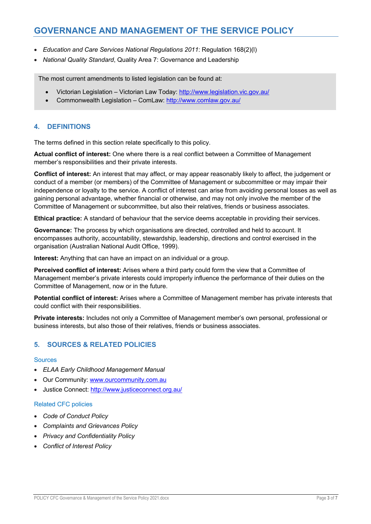- *Education and Care Services National Regulations 2011*: Regulation 168(2)(l)
- *National Quality Standard*, Quality Area 7: Governance and Leadership

The most current amendments to listed legislation can be found at:

- Victorian Legislation Victorian Law Today: http://www.legislation.vic.gov.au/
- Commonwealth Legislation ComLaw: http://www.comlaw.gov.au/

### **4. DEFINITIONS**

The terms defined in this section relate specifically to this policy.

**Actual conflict of interest:** One where there is a real conflict between a Committee of Management member's responsibilities and their private interests.

**Conflict of interest:** An interest that may affect, or may appear reasonably likely to affect, the judgement or conduct of a member (or members) of the Committee of Management or subcommittee or may impair their independence or loyalty to the service. A conflict of interest can arise from avoiding personal losses as well as gaining personal advantage, whether financial or otherwise, and may not only involve the member of the Committee of Management or subcommittee, but also their relatives, friends or business associates.

**Ethical practice:** A standard of behaviour that the service deems acceptable in providing their services.

**Governance:** The process by which organisations are directed, controlled and held to account. It encompasses authority, accountability, stewardship, leadership, directions and control exercised in the organisation (Australian National Audit Office, 1999).

**Interest:** Anything that can have an impact on an individual or a group.

**Perceived conflict of interest:** Arises where a third party could form the view that a Committee of Management member's private interests could improperly influence the performance of their duties on the Committee of Management, now or in the future.

**Potential conflict of interest:** Arises where a Committee of Management member has private interests that could conflict with their responsibilities.

**Private interests:** Includes not only a Committee of Management member's own personal, professional or business interests, but also those of their relatives, friends or business associates.

## **5. SOURCES & RELATED POLICIES**

#### Sources

- *ELAA Early Childhood Management Manual*
- Our Community: www.ourcommunity.com.au
- Justice Connect: http://www.justiceconnect.org.au/

#### Related CFC policies

- *Code of Conduct Policy*
- *Complaints and Grievances Policy*
- *Privacy and Confidentiality Policy*
- *Conflict of Interest Policy*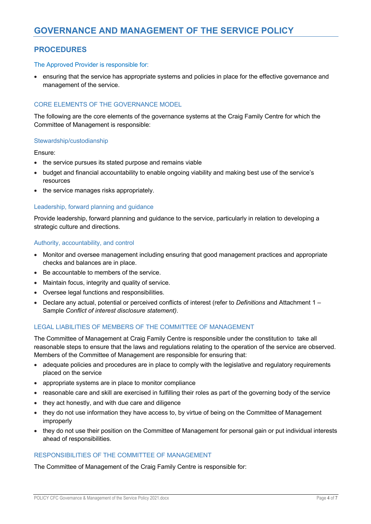# **PROCEDURES**

#### The Approved Provider is responsible for:

• ensuring that the service has appropriate systems and policies in place for the effective governance and management of the service.

#### CORE ELEMENTS OF THE GOVERNANCE MODEL

The following are the core elements of the governance systems at the Craig Family Centre for which the Committee of Management is responsible:

#### Stewardship/custodianship

Ensure:

- the service pursues its stated purpose and remains viable
- budget and financial accountability to enable ongoing viability and making best use of the service's resources
- the service manages risks appropriately.

#### Leadership, forward planning and guidance

Provide leadership, forward planning and guidance to the service, particularly in relation to developing a strategic culture and directions.

#### Authority, accountability, and control

- Monitor and oversee management including ensuring that good management practices and appropriate checks and balances are in place.
- Be accountable to members of the service.
- Maintain focus, integrity and quality of service.
- Oversee legal functions and responsibilities.
- Declare any actual, potential or perceived conflicts of interest (refer to *Definitions* and Attachment 1 Sample *Conflict of interest disclosure statement)*.

#### LEGAL LIABILITIES OF MEMBERS OF THE COMMITTEE OF MANAGEMENT

The Committee of Management at Craig Family Centre is responsible under the constitution to take all reasonable steps to ensure that the laws and regulations relating to the operation of the service are observed. Members of the Committee of Management are responsible for ensuring that:

- adequate policies and procedures are in place to comply with the legislative and regulatory requirements placed on the service
- appropriate systems are in place to monitor compliance
- reasonable care and skill are exercised in fulfilling their roles as part of the governing body of the service
- they act honestly, and with due care and diligence
- they do not use information they have access to, by virtue of being on the Committee of Management improperly
- they do not use their position on the Committee of Management for personal gain or put individual interests ahead of responsibilities.

#### RESPONSIBILITIES OF THE COMMITTEE OF MANAGEMENT

The Committee of Management of the Craig Family Centre is responsible for: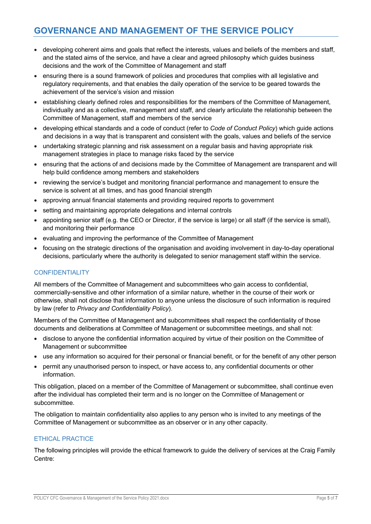- developing coherent aims and goals that reflect the interests, values and beliefs of the members and staff, and the stated aims of the service, and have a clear and agreed philosophy which guides business decisions and the work of the Committee of Management and staff
- ensuring there is a sound framework of policies and procedures that complies with all legislative and regulatory requirements, and that enables the daily operation of the service to be geared towards the achievement of the service's vision and mission
- establishing clearly defined roles and responsibilities for the members of the Committee of Management, individually and as a collective, management and staff, and clearly articulate the relationship between the Committee of Management, staff and members of the service
- developing ethical standards and a code of conduct (refer to *Code of Conduct Policy*) which guide actions and decisions in a way that is transparent and consistent with the goals, values and beliefs of the service
- undertaking strategic planning and risk assessment on a regular basis and having appropriate risk management strategies in place to manage risks faced by the service
- ensuring that the actions of and decisions made by the Committee of Management are transparent and will help build confidence among members and stakeholders
- reviewing the service's budget and monitoring financial performance and management to ensure the service is solvent at all times, and has good financial strength
- approving annual financial statements and providing required reports to government
- setting and maintaining appropriate delegations and internal controls
- appointing senior staff (e.g. the CEO or Director, if the service is large) or all staff (if the service is small), and monitoring their performance
- evaluating and improving the performance of the Committee of Management
- focusing on the strategic directions of the organisation and avoiding involvement in day-to-day operational decisions, particularly where the authority is delegated to senior management staff within the service.

### **CONFIDENTIALITY**

All members of the Committee of Management and subcommittees who gain access to confidential, commercially-sensitive and other information of a similar nature, whether in the course of their work or otherwise, shall not disclose that information to anyone unless the disclosure of such information is required by law (refer to *Privacy and Confidentiality Policy*).

Members of the Committee of Management and subcommittees shall respect the confidentiality of those documents and deliberations at Committee of Management or subcommittee meetings, and shall not:

- disclose to anyone the confidential information acquired by virtue of their position on the Committee of Management or subcommittee
- use any information so acquired for their personal or financial benefit, or for the benefit of any other person
- permit any unauthorised person to inspect, or have access to, any confidential documents or other information.

This obligation, placed on a member of the Committee of Management or subcommittee, shall continue even after the individual has completed their term and is no longer on the Committee of Management or subcommittee.

The obligation to maintain confidentiality also applies to any person who is invited to any meetings of the Committee of Management or subcommittee as an observer or in any other capacity.

### ETHICAL PRACTICE

The following principles will provide the ethical framework to guide the delivery of services at the Craig Family Centre: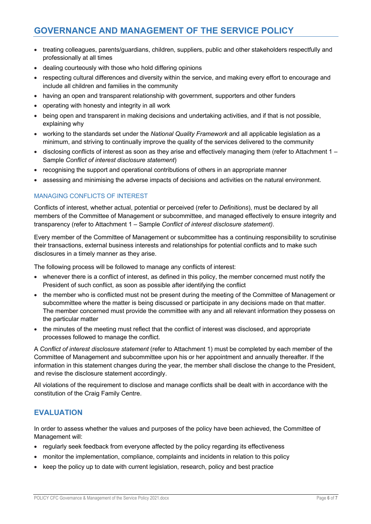- treating colleagues, parents/guardians, children, suppliers, public and other stakeholders respectfully and professionally at all times
- dealing courteously with those who hold differing opinions
- respecting cultural differences and diversity within the service, and making every effort to encourage and include all children and families in the community
- having an open and transparent relationship with government, supporters and other funders
- operating with honesty and integrity in all work
- being open and transparent in making decisions and undertaking activities, and if that is not possible, explaining why
- working to the standards set under the *National Quality Framework* and all applicable legislation as a minimum, and striving to continually improve the quality of the services delivered to the community
- disclosing conflicts of interest as soon as they arise and effectively managing them (refer to Attachment 1 Sample *Conflict of interest disclosure statement*)
- recognising the support and operational contributions of others in an appropriate manner
- assessing and minimising the adverse impacts of decisions and activities on the natural environment.

#### MANAGING CONFLICTS OF INTEREST

Conflicts of interest, whether actual, potential or perceived (refer to *Definitions*), must be declared by all members of the Committee of Management or subcommittee, and managed effectively to ensure integrity and transparency (refer to Attachment 1 – Sample *Conflict of interest disclosure statement)*.

Every member of the Committee of Management or subcommittee has a continuing responsibility to scrutinise their transactions, external business interests and relationships for potential conflicts and to make such disclosures in a timely manner as they arise.

The following process will be followed to manage any conflicts of interest:

- whenever there is a conflict of interest, as defined in this policy, the member concerned must notify the President of such conflict, as soon as possible after identifying the conflict
- the member who is conflicted must not be present during the meeting of the Committee of Management or subcommittee where the matter is being discussed or participate in any decisions made on that matter. The member concerned must provide the committee with any and all relevant information they possess on the particular matter
- the minutes of the meeting must reflect that the conflict of interest was disclosed, and appropriate processes followed to manage the conflict.

A *Conflict of interest disclosure statement* (refer to Attachment 1) must be completed by each member of the Committee of Management and subcommittee upon his or her appointment and annually thereafter. If the information in this statement changes during the year, the member shall disclose the change to the President, and revise the disclosure statement accordingly.

All violations of the requirement to disclose and manage conflicts shall be dealt with in accordance with the constitution of the Craig Family Centre.

## **EVALUATION**

In order to assess whether the values and purposes of the policy have been achieved, the Committee of Management will:

- regularly seek feedback from everyone affected by the policy regarding its effectiveness
- monitor the implementation, compliance, complaints and incidents in relation to this policy
- keep the policy up to date with current legislation, research, policy and best practice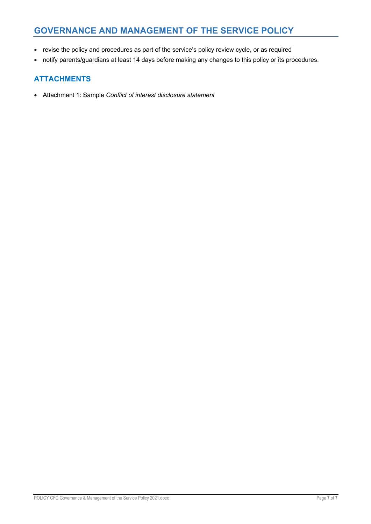- revise the policy and procedures as part of the service's policy review cycle, or as required
- notify parents/guardians at least 14 days before making any changes to this policy or its procedures.

# **ATTACHMENTS**

• Attachment 1: Sample *Conflict of interest disclosure statement*